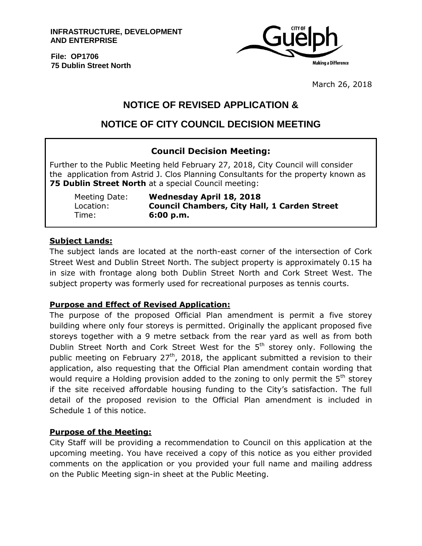**INFRASTRUCTURE, DEVELOPMENT AND ENTERPRISE**

**File: OP1706 75 Dublin Street North**



March 26, 2018

# **NOTICE OF REVISED APPLICATION &**

# **NOTICE OF CITY COUNCIL DECISION MEETING**

## **Council Decision Meeting:**

Further to the Public Meeting held February 27, 2018, City Council will consider the application from Astrid J. Clos Planning Consultants for the property known as **75 Dublin Street North** at a special Council meeting:

Time: **6:00 p.m.**

Meeting Date: **Wednesday April 18, 2018** Location: **Council Chambers, City Hall, 1 Carden Street**

### **Subject Lands:**

The subject lands are located at the north-east corner of the intersection of Cork Street West and Dublin Street North. The subject property is approximately 0.15 ha in size with frontage along both Dublin Street North and Cork Street West. The subject property was formerly used for recreational purposes as tennis courts.

### **Purpose and Effect of Revised Application:**

The purpose of the proposed Official Plan amendment is permit a five storey building where only four storeys is permitted. Originally the applicant proposed five storeys together with a 9 metre setback from the rear yard as well as from both Dublin Street North and Cork Street West for the 5<sup>th</sup> storey only. Following the public meeting on February  $27<sup>th</sup>$ , 2018, the applicant submitted a revision to their application, also requesting that the Official Plan amendment contain wording that would require a Holding provision added to the zoning to only permit the  $5<sup>th</sup>$  storey if the site received affordable housing funding to the City's satisfaction. The full detail of the proposed revision to the Official Plan amendment is included in Schedule 1 of this notice.

### **Purpose of the Meeting:**

City Staff will be providing a recommendation to Council on this application at the upcoming meeting. You have received a copy of this notice as you either provided comments on the application or you provided your full name and mailing address on the Public Meeting sign-in sheet at the Public Meeting.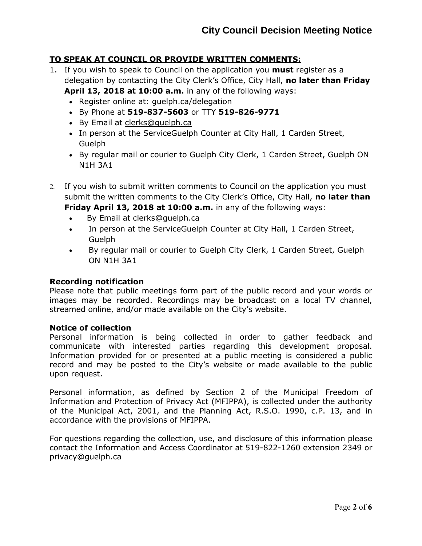### **TO SPEAK AT COUNCIL OR PROVIDE WRITTEN COMMENTS:**

1. If you wish to speak to Council on the application you **must** register as a delegation by contacting the City Clerk's Office, City Hall, **no later than Friday April 13, 2018 at 10:00 a.m.** in any of the following ways:

• Register online at: quelph.ca/delegation

- By Phone at **519-837-5603** or TTY **519-826-9771**
- By Email at [clerks@guelph.ca](javascript:smae_decode()
- In person at the ServiceGuelph Counter at City Hall, 1 Carden Street, Guelph
- By regular mail or courier to Guelph City Clerk, 1 Carden Street, Guelph ON N1H 3A1
- 2. If you wish to submit written comments to Council on the application you must submit the written comments to the City Clerk's Office, City Hall, **no later than Friday April 13, 2018 at 10:00 a.m.** in any of the following ways:
	- By Email at [clerks@guelph.ca](javascript:smae_decode()
	- In person at the ServiceGuelph Counter at City Hall, 1 Carden Street, Guelph
	- By regular mail or courier to Guelph City Clerk, 1 Carden Street, Guelph ON N1H 3A1

### **Recording notification**

Please note that public meetings form part of the public record and your words or images may be recorded. Recordings may be broadcast on a local TV channel, streamed online, and/or made available on the City's website.

### **Notice of collection**

Personal information is being collected in order to gather feedback and communicate with interested parties regarding this development proposal. Information provided for or presented at a public meeting is considered a public record and may be posted to the City's website or made available to the public upon request.

Personal information, as defined by Section 2 of the Municipal Freedom of Information and Protection of Privacy Act (MFIPPA), is collected under the authority of the Municipal Act, 2001, and the Planning Act, R.S.O. 1990, c.P. 13, and in accordance with the provisions of MFIPPA.

For questions regarding the collection, use, and disclosure of this information please contact the Information and Access Coordinator at 519-822-1260 extension 2349 or privacy@guelph.ca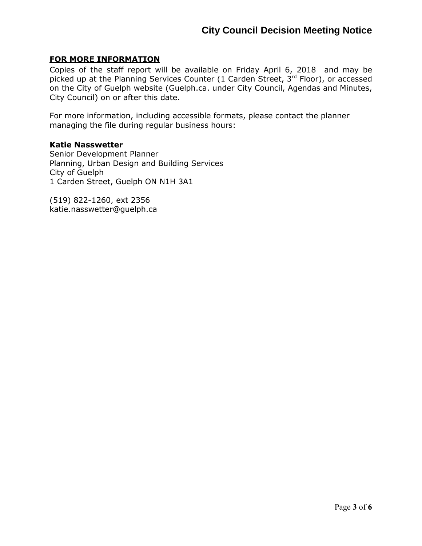### **FOR MORE INFORMATION**

Copies of the staff report will be available on Friday April 6, 2018 and may be picked up at the Planning Services Counter (1 Carden Street,  $3<sup>rd</sup>$  Floor), or accessed on the City of Guelph website (Guelph.ca. under City Council, Agendas and Minutes, City Council) on or after this date.

For more information, including accessible formats, please contact the planner managing the file during regular business hours:

### **Katie Nasswetter**

Senior Development Planner Planning, Urban Design and Building Services City of Guelph 1 Carden Street, Guelph ON N1H 3A1

(519) 822-1260, ext 2356 katie.nasswetter@guelph.ca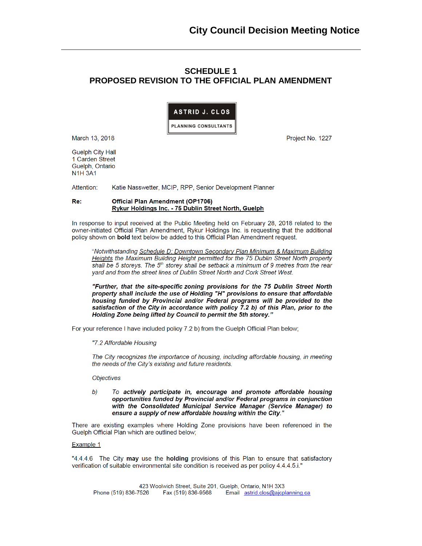### **SCHEDULE 1** PROPOSED REVISION TO THE OFFICIAL PLAN AMENDMENT



March 13, 2018

Project No. 1227

**Guelph City Hall** 1 Carden Street Guelph, Ontario **N1H3A1** 

Attention: Katie Nasswetter, MCIP, RPP, Senior Development Planner

#### **Official Plan Amendment (OP1706)** Re: Rykur Holdings Inc. - 75 Dublin Street North, Guelph

In response to input received at the Public Meeting held on February 28, 2018 related to the owner-initiated Official Plan Amendment, Rykur Holdings Inc. is requesting that the additional policy shown on **bold** text below be added to this Official Plan Amendment request.

"Notwithstanding Schedule D: Downtown Secondary Plan Minimum & Maximum Building Heights the Maximum Building Height permitted for the 75 Dublin Street North property shall be 5 storeys. The 5<sup>th</sup> storey shall be setback a minimum of 9 metres from the rear yard and from the street lines of Dublin Street North and Cork Street West.

"Further, that the site-specific zoning provisions for the 75 Dublin Street North property shall include the use of Holding "H" provisions to ensure that affordable housing funded by Provincial and/or Federal programs will be provided to the satisfaction of the City in accordance with policy 7.2 b) of this Plan, prior to the Holding Zone being lifted by Council to permit the 5th storey."

For your reference I have included policy 7.2 b) from the Guelph Official Plan below;

"7.2 Affordable Housing

The City recognizes the importance of housing, including affordable housing, in meeting the needs of the City's existing and future residents.

#### Objectives

To actively participate in, encourage and promote affordable housing  $b)$ opportunities funded by Provincial and/or Federal programs in conjunction with the Consolidated Municipal Service Manager (Service Manager) to ensure a supply of new affordable housing within the City."

There are existing examples where Holding Zone provisions have been referenced in the Guelph Official Plan which are outlined below;

#### Example 1

"4.4.4.6 The City may use the holding provisions of this Plan to ensure that satisfactory verification of suitable environmental site condition is received as per policy 4.4.4.5.i."

423 Woolwich Street, Suite 201, Guelph, Ontario, N1H 3X3 Phone (519) 836-7526 Fax (519) 836-9568 Email astrid.clos@ajcplanning.ca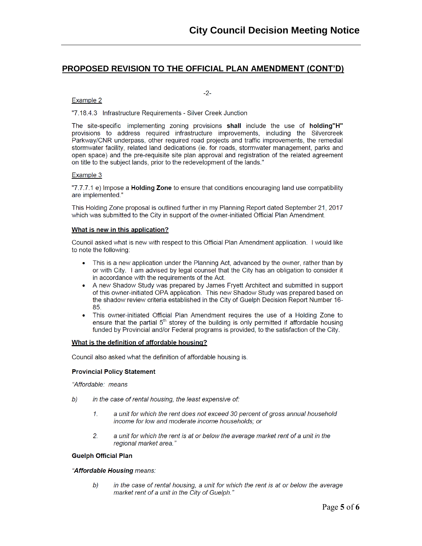### PROPOSED REVISION TO THE OFFICIAL PLAN AMENDMENT (CONT'D)

 $-2-$ 

#### Example 2

"7.18.4.3 Infrastructure Requirements - Silver Creek Junction

The site-specific implementing zoning provisions shall include the use of holding"H" provisions to address required infrastructure improvements, including the Silvercreek Parkway/CNR underpass, other required road projects and traffic improvements, the remedial stormwater facility, related land dedications (ie. for roads, stormwater management, parks and open space) and the pre-requisite site plan approval and registration of the related agreement on title to the subject lands, prior to the redevelopment of the lands."

### Example 3

"7.7.7.1 e) Impose a **Holding Zone** to ensure that conditions encouraging land use compatibility are implemented."

This Holding Zone proposal is outlined further in my Planning Report dated September 21, 2017 which was submitted to the City in support of the owner-initiated Official Plan Amendment.

#### What is new in this application?

Council asked what is new with respect to this Official Plan Amendment application. I would like to note the following:

- This is a new application under the Planning Act, advanced by the owner, rather than by  $\bullet$ or with City. I am advised by legal counsel that the City has an obligation to consider it in accordance with the requirements of the Act.
- A new Shadow Study was prepared by James Fryett Architect and submitted in support of this owner-initiated OPA application. This new Shadow Study was prepared based on the shadow review criteria established in the City of Guelph Decision Report Number 16-85.
- This owner-initiated Official Plan Amendment requires the use of a Holding Zone to ensure that the partial 5<sup>th</sup> storey of the building is only permitted if affordable housing funded by Provincial and/or Federal programs is provided, to the satisfaction of the City.

#### What is the definition of affordable housing?

Council also asked what the definition of affordable housing is.

#### **Provincial Policy Statement**

"Affordable: means

- b) in the case of rental housing, the least expensive of:
	- a unit for which the rent does not exceed 30 percent of gross annual household  $\mathcal{I}$ . income for low and moderate income households; or
	- a unit for which the rent is at or below the average market rent of a unit in the  $2.$ regional market area."

### **Guelph Official Plan**

### "Affordable Housing means:

b) in the case of rental housing, a unit for which the rent is at or below the average market rent of a unit in the City of Guelph."